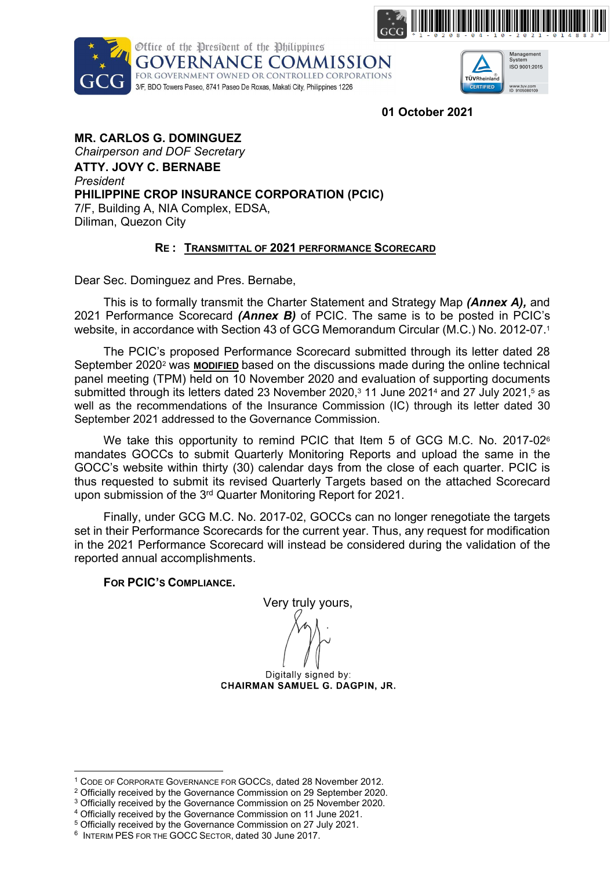





01 October 2021

MR. CARLOS G. DOMINGUEZ Chairperson and DOF Secretary ATTY. JOVY C. BERNABE President PHILIPPINE CROP INSURANCE CORPORATION (PCIC) 7/F, Building A, NIA Complex, EDSA, Diliman, Quezon City

# RE : TRANSMITTAL OF 2021 PERFORMANCE SCORECARD

Dear Sec. Dominguez and Pres. Bernabe,

This is to formally transmit the Charter Statement and Strategy Map (Annex A), and 2021 Performance Scorecard (Annex B) of PCIC. The same is to be posted in PCIC's website, in accordance with Section 43 of GCG Memorandum Circular (M.C.) No. 2012-07.<sup>1</sup>

The PCIC's proposed Performance Scorecard submitted through its letter dated 28 September 2020<sup>2</sup> was MODIFIED based on the discussions made during the online technical panel meeting (TPM) held on 10 November 2020 and evaluation of supporting documents submitted through its letters dated 23 November 2020,<sup>3</sup> 11 June 2021<sup>4</sup> and 27 July 2021,<sup>5</sup> as well as the recommendations of the Insurance Commission (IC) through its letter dated 30 September 2021 addressed to the Governance Commission.

We take this opportunity to remind PCIC that Item 5 of GCG M.C. No. 2017-02<sup>6</sup> mandates GOCCs to submit Quarterly Monitoring Reports and upload the same in the GOCC's website within thirty (30) calendar days from the close of each quarter. PCIC is thus requested to submit its revised Quarterly Targets based on the attached Scorecard upon submission of the 3rd Quarter Monitoring Report for 2021.

Finally, under GCG M.C. No. 2017-02, GOCCs can no longer renegotiate the targets set in their Performance Scorecards for the current year. Thus, any request for modification in the 2021 Performance Scorecard will instead be considered during the validation of the reported annual accomplishments.

# FOR PCIC'S COMPLIANCE.

Very truly yours,

Digitally signed by: CHAIRMAN SAMUEL G. DAGPIN. JR.



Digitally signed by: **COMMISSIONER MARITES C. DORAL** 

<sup>1</sup> CODE OF CORPORATE GOVERNANCE FOR GOCCS, dated 28 November 2012.

<sup>&</sup>lt;sup>2</sup> Officially received by the Governance Commission on 29 September 2020.

<sup>&</sup>lt;sup>3</sup> Officially received by the Governance Commission on 25 November 2020.

<sup>4</sup> Officially received by the Governance Commission on 11 June 2021. 5 Officially received by the Governance Commission on 27 July 2021.

<sup>6</sup> INTERIM PES FOR THE GOCC SECTOR, dated 30 June 2017.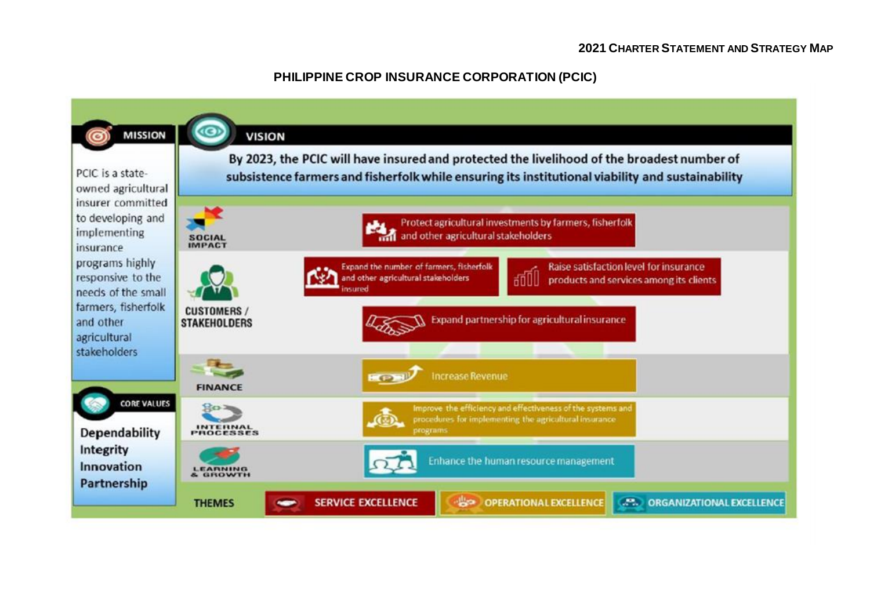# **2021 CHARTER STATEMENT AND STRATEGY MAP**

# **PHILIPPINE CROP INSURANCE CORPORATION (PCIC)**

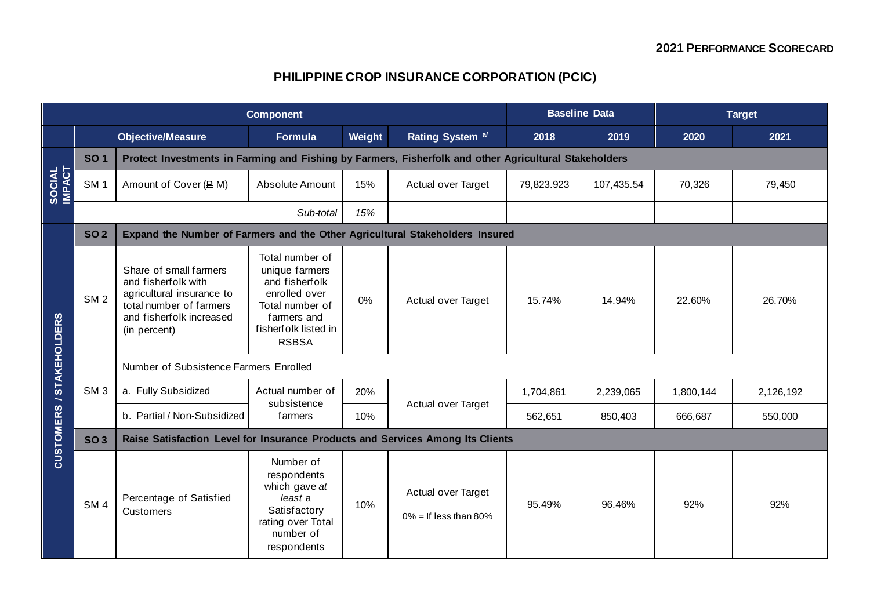# **PHILIPPINE CROP INSURANCE CORPORATION (PCIC)**

| <b>Component</b>         |                 |                                                                                                                                                   |                                                                                                                                                |        | <b>Baseline Data</b>                           |            | <b>Target</b> |           |           |  |  |
|--------------------------|-----------------|---------------------------------------------------------------------------------------------------------------------------------------------------|------------------------------------------------------------------------------------------------------------------------------------------------|--------|------------------------------------------------|------------|---------------|-----------|-----------|--|--|
|                          |                 | <b>Objective/Measure</b>                                                                                                                          | <b>Formula</b>                                                                                                                                 | Weight | Rating System <sup>a/</sup>                    | 2018       | 2019          | 2020      | 2021      |  |  |
| SOCIAL<br>IMPACT         | <b>SO1</b>      | Protect Investments in Farming and Fishing by Farmers, Fisherfolk and other Agricultural Stakeholders                                             |                                                                                                                                                |        |                                                |            |               |           |           |  |  |
|                          | SM <sub>1</sub> | Amount of Cover (P M)                                                                                                                             | Absolute Amount                                                                                                                                | 15%    | Actual over Target                             | 79,823.923 | 107,435.54    | 70,326    | 79,450    |  |  |
|                          |                 |                                                                                                                                                   | Sub-total                                                                                                                                      | 15%    |                                                |            |               |           |           |  |  |
|                          | <b>SO2</b>      | Expand the Number of Farmers and the Other Agricultural Stakeholders Insured                                                                      |                                                                                                                                                |        |                                                |            |               |           |           |  |  |
| CUSTOMERS / STAKEHOLDERS | SM <sub>2</sub> | Share of small farmers<br>and fisherfolk with<br>agricultural insurance to<br>total number of farmers<br>and fisherfolk increased<br>(in percent) | Total number of<br>unique farmers<br>and fisherfolk<br>enrolled over<br>Total number of<br>farmers and<br>fisherfolk listed in<br><b>RSBSA</b> | 0%     | Actual over Target                             | 15.74%     | 14.94%        | 22.60%    | 26.70%    |  |  |
|                          | SM <sub>3</sub> | Number of Subsistence Farmers Enrolled                                                                                                            |                                                                                                                                                |        |                                                |            |               |           |           |  |  |
|                          |                 | a. Fully Subsidized                                                                                                                               | Actual number of                                                                                                                               | 20%    |                                                | 1,704,861  | 2,239,065     | 1,800,144 | 2,126,192 |  |  |
|                          |                 | b. Partial / Non-Subsidized                                                                                                                       | subsistence<br>farmers                                                                                                                         | 10%    | Actual over Target                             | 562,651    | 850,403       | 666,687   | 550,000   |  |  |
|                          | <b>SO3</b>      | Raise Satisfaction Level for Insurance Products and Services Among Its Clients                                                                    |                                                                                                                                                |        |                                                |            |               |           |           |  |  |
|                          | SM <sub>4</sub> | Percentage of Satisfied<br>Customers                                                                                                              | Number of<br>respondents<br>which gave at<br>least a<br>Satisfactory<br>rating over Total<br>number of<br>respondents                          | 10%    | Actual over Target<br>$0\%$ = If less than 80% | 95.49%     | 96.46%        | 92%       | 92%       |  |  |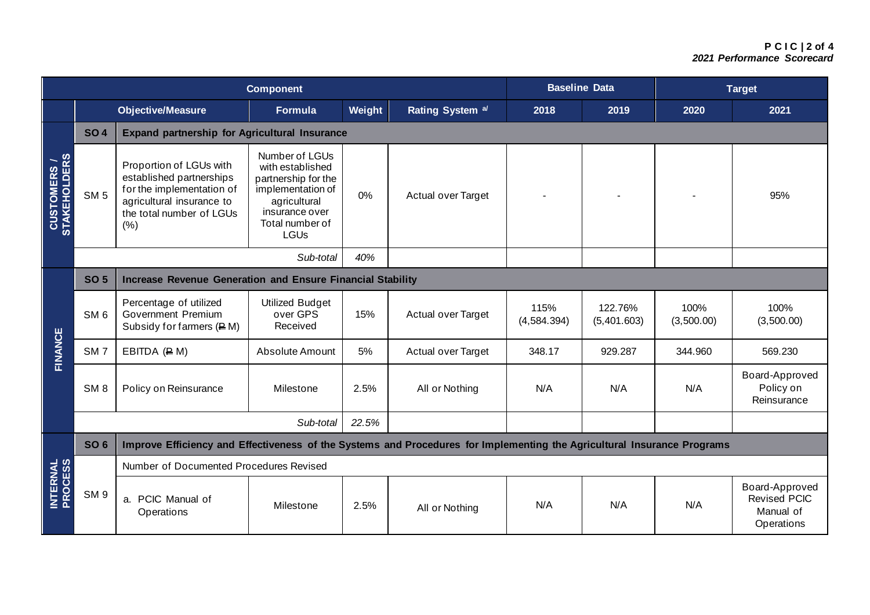### **P C I C | 2 of 4** *2021 Performance Scorecard*

| <b>Component</b>                   |                 |                                                                                                                                                   |                                                                                                                                                    |        |                             | <b>Baseline Data</b> |                        | <b>Target</b>      |                                                                  |  |  |
|------------------------------------|-----------------|---------------------------------------------------------------------------------------------------------------------------------------------------|----------------------------------------------------------------------------------------------------------------------------------------------------|--------|-----------------------------|----------------------|------------------------|--------------------|------------------------------------------------------------------|--|--|
|                                    |                 | <b>Objective/Measure</b>                                                                                                                          | <b>Formula</b>                                                                                                                                     | Weight | Rating System <sup>a/</sup> | 2018                 | 2019                   | 2020               | 2021                                                             |  |  |
| <b>CUSTOMERS /</b><br>STAKEHOLDERS | <b>SO4</b>      | <b>Expand partnership for Agricultural Insurance</b>                                                                                              |                                                                                                                                                    |        |                             |                      |                        |                    |                                                                  |  |  |
|                                    | SM <sub>5</sub> | Proportion of LGUs with<br>established partnerships<br>for the implementation of<br>agricultural insurance to<br>the total number of LGUs<br>(% ) | Number of LGUs<br>with established<br>partnership for the<br>implementation of<br>agricultural<br>insurance over<br>Total number of<br><b>LGUs</b> | 0%     | Actual over Target          |                      |                        |                    | 95%                                                              |  |  |
|                                    |                 | Sub-total                                                                                                                                         |                                                                                                                                                    |        |                             |                      |                        |                    |                                                                  |  |  |
|                                    | <b>SO 5</b>     | Increase Revenue Generation and Ensure Financial Stability                                                                                        |                                                                                                                                                    |        |                             |                      |                        |                    |                                                                  |  |  |
| <b>FINANCE</b>                     | SM <sub>6</sub> | Percentage of utilized<br>Government Premium<br>Subsidy for farmers $(EM)$                                                                        | <b>Utilized Budget</b><br>over GPS<br>Received                                                                                                     | 15%    | Actual over Target          | 115%<br>(4,584.394)  | 122.76%<br>(5,401.603) | 100%<br>(3,500.00) | 100%<br>(3,500.00)                                               |  |  |
|                                    | SM <sub>7</sub> | EBITDA $(E M)$                                                                                                                                    | Absolute Amount                                                                                                                                    | 5%     | Actual over Target          | 348.17               | 929.287                | 344.960            | 569.230                                                          |  |  |
|                                    | SM <sub>8</sub> | Policy on Reinsurance                                                                                                                             | Milestone                                                                                                                                          | 2.5%   | All or Nothing              | N/A                  | N/A                    | N/A                | Board-Approved<br>Policy on<br>Reinsurance                       |  |  |
|                                    |                 | Sub-total<br>22.5%                                                                                                                                |                                                                                                                                                    |        |                             |                      |                        |                    |                                                                  |  |  |
|                                    | <b>SO 6</b>     | Improve Efficiency and Effectiveness of the Systems and Procedures for Implementing the Agricultural Insurance Programs                           |                                                                                                                                                    |        |                             |                      |                        |                    |                                                                  |  |  |
| <b>INTERNAL<br/>PROCESS</b>        |                 | Number of Documented Procedures Revised                                                                                                           |                                                                                                                                                    |        |                             |                      |                        |                    |                                                                  |  |  |
|                                    | SM <sub>9</sub> | a. PCIC Manual of<br>Operations                                                                                                                   | Milestone                                                                                                                                          | 2.5%   | All or Nothing              | N/A                  | N/A                    | N/A                | Board-Approved<br><b>Revised PCIC</b><br>Manual of<br>Operations |  |  |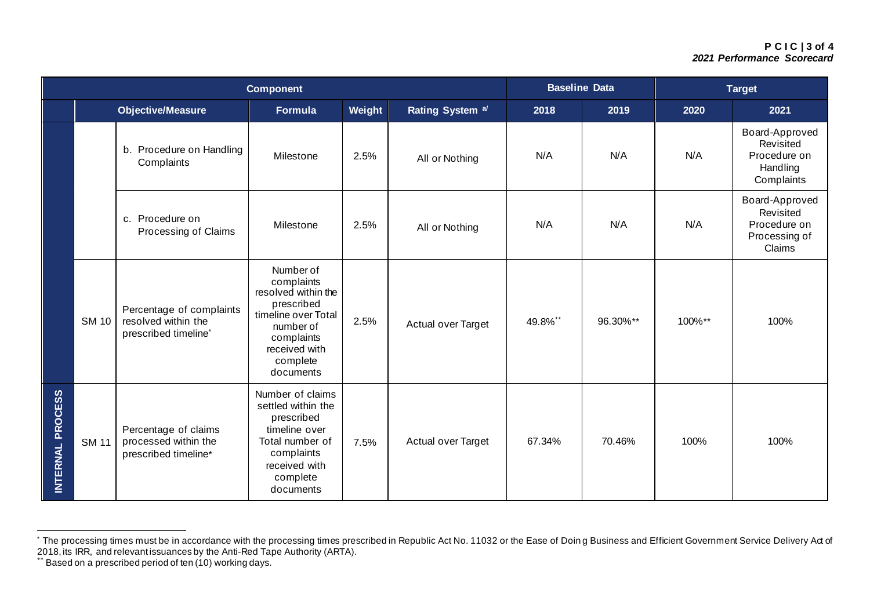## **P C I C | 3 of 4** *2021 Performance Scorecard*

| <b>Component</b> |              |                                                                                     |                                                                                                                                                          |        | <b>Baseline Data</b>        |         | <b>Target</b> |        |                                                                        |
|------------------|--------------|-------------------------------------------------------------------------------------|----------------------------------------------------------------------------------------------------------------------------------------------------------|--------|-----------------------------|---------|---------------|--------|------------------------------------------------------------------------|
|                  |              | Objective/Measure                                                                   | <b>Formula</b>                                                                                                                                           | Weight | Rating System <sup>a/</sup> | 2018    | 2019          | 2020   | 2021                                                                   |
|                  |              | b. Procedure on Handling<br>Complaints                                              | Milestone                                                                                                                                                | 2.5%   | All or Nothing              | N/A     | N/A           | N/A    | Board-Approved<br>Revisited<br>Procedure on<br>Handling<br>Complaints  |
|                  |              | c. Procedure on<br>Processing of Claims                                             | Milestone                                                                                                                                                | 2.5%   | All or Nothing              | N/A     | N/A           | N/A    | Board-Approved<br>Revisited<br>Procedure on<br>Processing of<br>Claims |
|                  | <b>SM 10</b> | Percentage of complaints<br>resolved within the<br>prescribed timeline <sup>*</sup> | Number of<br>complaints<br>resolved within the<br>prescribed<br>timeline over Total<br>number of<br>complaints<br>received with<br>complete<br>documents | 2.5%   | Actual over Target          | 49.8%** | 96.30%**      | 100%** | 100%                                                                   |
| INTERNAL PROCESS | <b>SM 11</b> | Percentage of claims<br>processed within the<br>prescribed timeline*                | Number of claims<br>settled within the<br>prescribed<br>timeline over<br>Total number of<br>complaints<br>received with<br>complete<br>documents         | 7.5%   | Actual over Target          | 67.34%  | 70.46%        | 100%   | 100%                                                                   |

<sup>\*</sup> The processing times must be in accordance with the processing times prescribed in Republic Act No. 11032 or the Ease of Doin g Business and Efficient Government Service Delivery Act of 2018, its IRR, and relevant issuances by the Anti-Red Tape Authority (ARTA).

<sup>\*\*</sup> Based on a prescribed period of ten (10) working days.